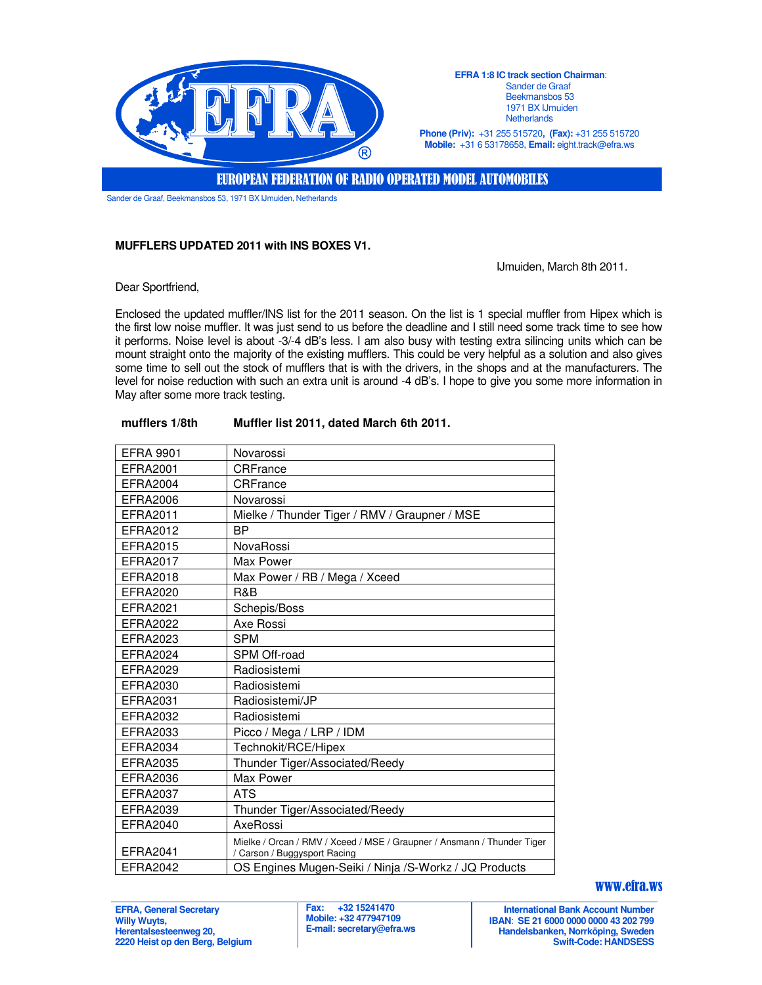

**EFRA 1:8 IC track section Chairman**: Sander de Graaf Beekmansbos 53 1971 BX IJmuiden **Netherlands** 

**Phone (Priv):** +31 255 515720**, (Fax):** +31 255 515720 **Mobile:** +31 6 53178658, **Email:** eight.track@efra.ws

EUROPEAN FEDERATION OF RADIO OPERATED MODEL AUTOMOBILES

Sander de Graaf, Beekmansbos 53, 1971 BX IJmuiden, Netherlands

## **MUFFLERS UPDATED 2011 with INS BOXES V1.**

IJmuiden, March 8th 2011.

Dear Sportfriend,

Enclosed the updated muffler/INS list for the 2011 season. On the list is 1 special muffler from Hipex which is the first low noise muffler. It was just send to us before the deadline and I still need some track time to see how it performs. Noise level is about -3/-4 dB's less. I am also busy with testing extra silincing units which can be mount straight onto the majority of the existing mufflers. This could be very helpful as a solution and also gives some time to sell out the stock of mufflers that is with the drivers, in the shops and at the manufacturers. The level for noise reduction with such an extra unit is around -4 dB's. I hope to give you some more information in May after some more track testing.

| <b>EFRA 9901</b> | Novarossi                                                                                               |
|------------------|---------------------------------------------------------------------------------------------------------|
| EFRA2001         | CRFrance                                                                                                |
| <b>EFRA2004</b>  | CRFrance                                                                                                |
| <b>EFRA2006</b>  | Novarossi                                                                                               |
| EFRA2011         | Mielke / Thunder Tiger / RMV / Graupner / MSE                                                           |
| EFRA2012         | <b>BP</b>                                                                                               |
| EFRA2015         | NovaRossi                                                                                               |
| <b>EFRA2017</b>  | Max Power                                                                                               |
| <b>EFRA2018</b>  | Max Power / RB / Mega / Xceed                                                                           |
| <b>EFRA2020</b>  | R&B                                                                                                     |
| EFRA2021         | Schepis/Boss                                                                                            |
| <b>EFRA2022</b>  | Axe Rossi                                                                                               |
| <b>EFRA2023</b>  | <b>SPM</b>                                                                                              |
| <b>EFRA2024</b>  | SPM Off-road                                                                                            |
| EFRA2029         | Radiosistemi                                                                                            |
| EFRA2030         | Radiosistemi                                                                                            |
| EFRA2031         | Radiosistemi/JP                                                                                         |
| <b>EFRA2032</b>  | Radiosistemi                                                                                            |
| EFRA2033         | Picco / Mega / LRP / IDM                                                                                |
| EFRA2034         | Technokit/RCE/Hipex                                                                                     |
| <b>EFRA2035</b>  | Thunder Tiger/Associated/Reedy                                                                          |
| <b>EFRA2036</b>  | Max Power                                                                                               |
| <b>EFRA2037</b>  | <b>ATS</b>                                                                                              |
| <b>EFRA2039</b>  | Thunder Tiger/Associated/Reedy                                                                          |
| <b>EFRA2040</b>  | AxeRossi                                                                                                |
| <b>EFRA2041</b>  | Mielke / Orcan / RMV / Xceed / MSE / Graupner / Ansmann / Thunder Tiger<br>/ Carson / Buggysport Racing |
| <b>EFRA2042</b>  | OS Engines Mugen-Seiki / Ninja / S-Workz / JQ Products                                                  |

## **mufflers 1/8th Muffler list 2011, dated March 6th 2011.**

## www.efra.ws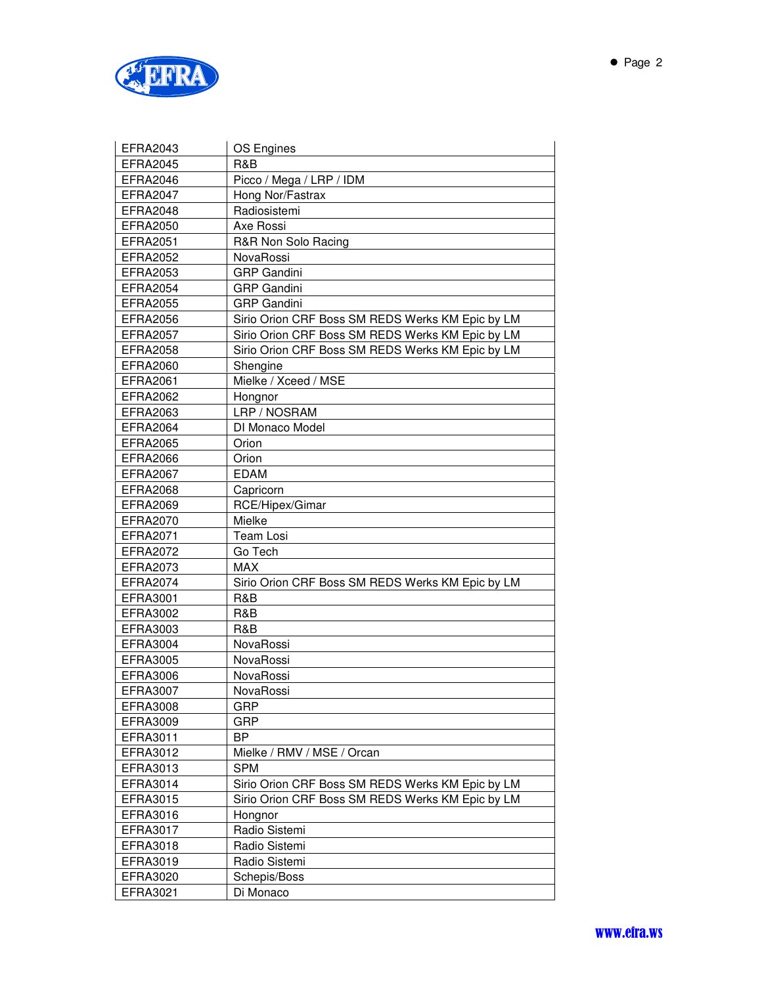

| <b>EFRA2043</b> | OS Engines                                       |
|-----------------|--------------------------------------------------|
| <b>EFRA2045</b> | R&B                                              |
| EFRA2046        | Picco / Mega / LRP / IDM                         |
| EFRA2047        | Hong Nor/Fastrax                                 |
| <b>EFRA2048</b> | Radiosistemi                                     |
| <b>EFRA2050</b> | Axe Rossi                                        |
| <b>EFRA2051</b> | R&R Non Solo Racing                              |
| <b>EFRA2052</b> | NovaRossi                                        |
| EFRA2053        | <b>GRP</b> Gandini                               |
| <b>EFRA2054</b> | <b>GRP</b> Gandini                               |
| <b>EFRA2055</b> | <b>GRP</b> Gandini                               |
| <b>EFRA2056</b> | Sirio Orion CRF Boss SM REDS Werks KM Epic by LM |
| <b>EFRA2057</b> | Sirio Orion CRF Boss SM REDS Werks KM Epic by LM |
| <b>EFRA2058</b> | Sirio Orion CRF Boss SM REDS Werks KM Epic by LM |
| <b>EFRA2060</b> | Shengine                                         |
| <b>EFRA2061</b> | Mielke / Xceed / MSE                             |
| <b>EFRA2062</b> | Hongnor                                          |
| EFRA2063        | LRP / NOSRAM                                     |
| <b>EFRA2064</b> | DI Monaco Model                                  |
| <b>EFRA2065</b> | Orion                                            |
| <b>EFRA2066</b> | Orion                                            |
| <b>EFRA2067</b> | <b>EDAM</b>                                      |
| <b>EFRA2068</b> | Capricorn                                        |
| <b>EFRA2069</b> | RCE/Hipex/Gimar                                  |
| EFRA2070        | Mielke                                           |
| EFRA2071        | Team Losi                                        |
| <b>EFRA2072</b> | Go Tech                                          |
| <b>EFRA2073</b> | MAX                                              |
| <b>EFRA2074</b> | Sirio Orion CRF Boss SM REDS Werks KM Epic by LM |
| <b>EFRA3001</b> | R&B                                              |
| <b>EFRA3002</b> | R&B                                              |
| EFRA3003        | R&B                                              |
| <b>EFRA3004</b> | NovaRossi                                        |
| EFRA3005        | NovaRossi                                        |
| <b>EFRA3006</b> | NovaRossi                                        |
| <b>EFRA3007</b> | NovaRossi                                        |
| <b>EFRA3008</b> | GRP                                              |
| EFRA3009        | <b>GRP</b>                                       |
| EFRA3011        | BP                                               |
| EFRA3012        | Mielke / RMV / MSE / Orcan                       |
| EFRA3013        | <b>SPM</b>                                       |
| EFRA3014        | Sirio Orion CRF Boss SM REDS Werks KM Epic by LM |
| EFRA3015        | Sirio Orion CRF Boss SM REDS Werks KM Epic by LM |
| EFRA3016        | Hongnor                                          |
| EFRA3017        | Radio Sistemi                                    |
| EFRA3018        | Radio Sistemi                                    |
| EFRA3019        | Radio Sistemi                                    |
| EFRA3020        | Schepis/Boss                                     |
| EFRA3021        | Di Monaco                                        |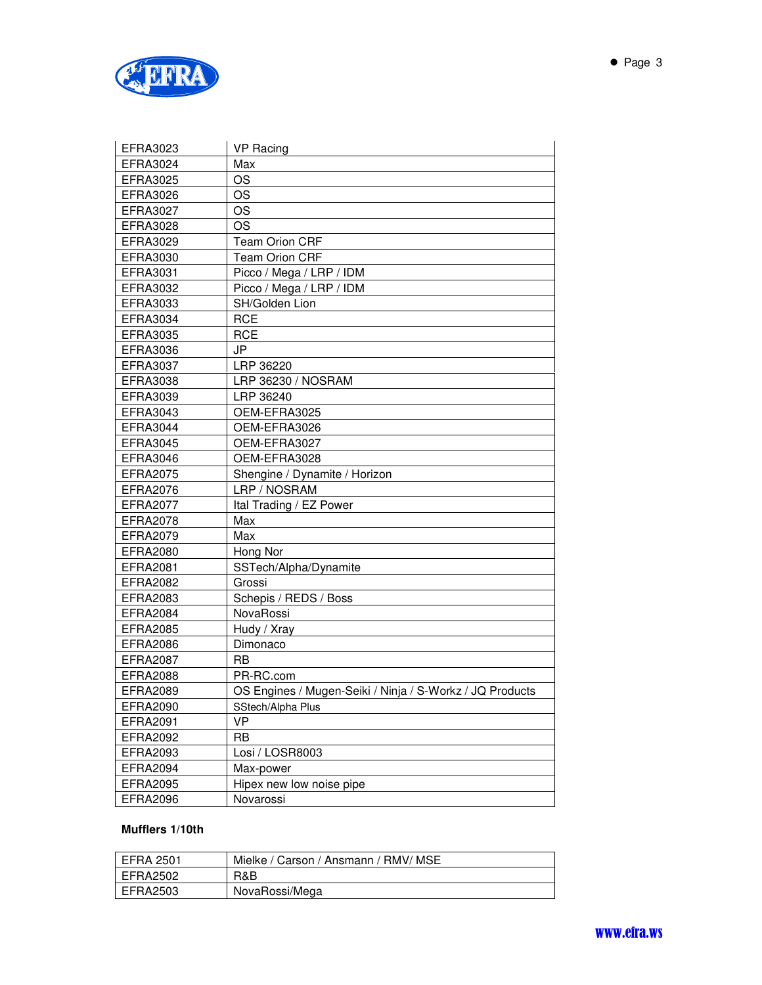

| EFRA3023        | <b>VP Racing</b>                                         |
|-----------------|----------------------------------------------------------|
| <b>EFRA3024</b> | Max                                                      |
| <b>EFRA3025</b> | <b>OS</b>                                                |
| <b>EFRA3026</b> | <b>OS</b>                                                |
| <b>EFRA3027</b> | OS                                                       |
| <b>EFRA3028</b> | <b>OS</b>                                                |
| EFRA3029        | <b>Team Orion CRF</b>                                    |
| <b>EFRA3030</b> | <b>Team Orion CRF</b>                                    |
| EFRA3031        | Picco / Mega / LRP / IDM                                 |
| <b>EFRA3032</b> | Picco / Mega / LRP / IDM                                 |
| EFRA3033        | SH/Golden Lion                                           |
| EFRA3034        | <b>RCE</b>                                               |
| <b>EFRA3035</b> | <b>RCE</b>                                               |
| <b>EFRA3036</b> | JP                                                       |
| <b>EFRA3037</b> | LRP 36220                                                |
| <b>EFRA3038</b> | LRP 36230 / NOSRAM                                       |
| <b>EFRA3039</b> | LRP 36240                                                |
| EFRA3043        | OEM-EFRA3025                                             |
| <b>EFRA3044</b> | OEM-EFRA3026                                             |
| EFRA3045        | OEM-EFRA3027                                             |
| <b>EFRA3046</b> | OEM-EFRA3028                                             |
| <b>EFRA2075</b> | Shengine / Dynamite / Horizon                            |
| <b>EFRA2076</b> | LRP / NOSRAM                                             |
| <b>EFRA2077</b> | Ital Trading / EZ Power                                  |
| EFRA2078        | Max                                                      |
| <b>EFRA2079</b> | Max                                                      |
| <b>EFRA2080</b> | Hong Nor                                                 |
| EFRA2081        | SSTech/Alpha/Dynamite                                    |
| <b>EFRA2082</b> | Grossi                                                   |
| <b>EFRA2083</b> | Schepis / REDS / Boss                                    |
| <b>EFRA2084</b> | NovaRossi                                                |
| <b>EFRA2085</b> | Hudy / Xray                                              |
| <b>EFRA2086</b> | Dimonaco                                                 |
| <b>EFRA2087</b> | <b>RB</b>                                                |
| <b>EFRA2088</b> | PR-RC.com                                                |
| EFRA2089        | OS Engines / Mugen-Seiki / Ninja / S-Workz / JQ Products |
| EFRA2090        | SStech/Alpha Plus                                        |
| EFRA2091        | VP                                                       |
| EFRA2092        | RB                                                       |
| EFRA2093        | Losi / LOSR8003                                          |
| <b>EFRA2094</b> | Max-power                                                |
| <b>EFRA2095</b> | Hipex new low noise pipe                                 |
| <b>EFRA2096</b> | Novarossi                                                |

# **Mufflers 1/10th**

| EFRA 2501 | Mielke / Carson / Ansmann / RMV/ MSE |
|-----------|--------------------------------------|
| EFRA2502  | R&B                                  |
| EFRA2503  | NovaRossi/Mega                       |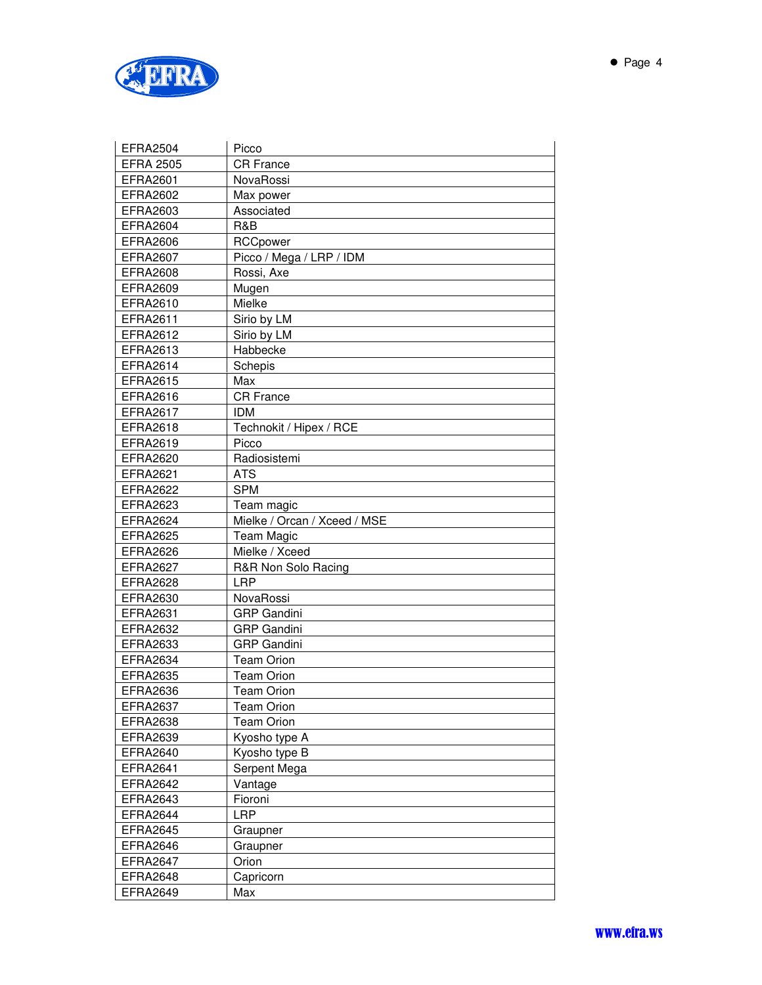

| <b>EFRA2504</b>  | Picco                        |
|------------------|------------------------------|
| <b>EFRA 2505</b> | <b>CR France</b>             |
| <b>EFRA2601</b>  | <b>NovaRossi</b>             |
| <b>EFRA2602</b>  | Max power                    |
| EFRA2603         | Associated                   |
| <b>EFRA2604</b>  | R&B                          |
| <b>EFRA2606</b>  | RCCpower                     |
| <b>EFRA2607</b>  | Picco / Mega / LRP / IDM     |
| <b>EFRA2608</b>  | Rossi, Axe                   |
| EFRA2609         | Mugen                        |
| EFRA2610         | Mielke                       |
| EFRA2611         | Sirio by LM                  |
| <b>EFRA2612</b>  | Sirio by LM                  |
| EFRA2613         | Habbecke                     |
| <b>EFRA2614</b>  | Schepis                      |
| <b>EFRA2615</b>  | Max                          |
| EFRA2616         | <b>CR France</b>             |
| <b>EFRA2617</b>  | <b>IDM</b>                   |
| <b>EFRA2618</b>  | Technokit / Hipex / RCE      |
| <b>EFRA2619</b>  | Picco                        |
| <b>EFRA2620</b>  | Radiosistemi                 |
| <b>EFRA2621</b>  | <b>ATS</b>                   |
| <b>EFRA2622</b>  | <b>SPM</b>                   |
| <b>EFRA2623</b>  | Team magic                   |
| <b>EFRA2624</b>  | Mielke / Orcan / Xceed / MSE |
| <b>EFRA2625</b>  | <b>Team Magic</b>            |
| <b>EFRA2626</b>  | Mielke / Xceed               |
| <b>EFRA2627</b>  | R&R Non Solo Racing          |
| <b>EFRA2628</b>  | <b>LRP</b>                   |
| EFRA2630         | NovaRossi                    |
| <b>EFRA2631</b>  | <b>GRP</b> Gandini           |
| <b>EFRA2632</b>  | <b>GRP</b> Gandini           |
| EFRA2633         | <b>GRP</b> Gandini           |
| <b>EFRA2634</b>  | <b>Team Orion</b>            |
| <b>EFRA2635</b>  | <b>Team Orion</b>            |
| EFRA2636         | Team Orion                   |
| <b>EFRA2637</b>  | <b>Team Orion</b>            |
| <b>EFRA2638</b>  | <b>Team Orion</b>            |
| <b>EFRA2639</b>  | Kyosho type A                |
| <b>EFRA2640</b>  | Kyosho type B                |
| <b>EFRA2641</b>  | Serpent Mega                 |
| <b>EFRA2642</b>  | Vantage                      |
| <b>EFRA2643</b>  | Fioroni                      |
| EFRA2644         | <b>LRP</b>                   |
| <b>EFRA2645</b>  | Graupner                     |
| EFRA2646         | Graupner                     |
| EFRA2647         | Orion                        |
| <b>EFRA2648</b>  | Capricorn                    |
| <b>EFRA2649</b>  | Max                          |
|                  |                              |